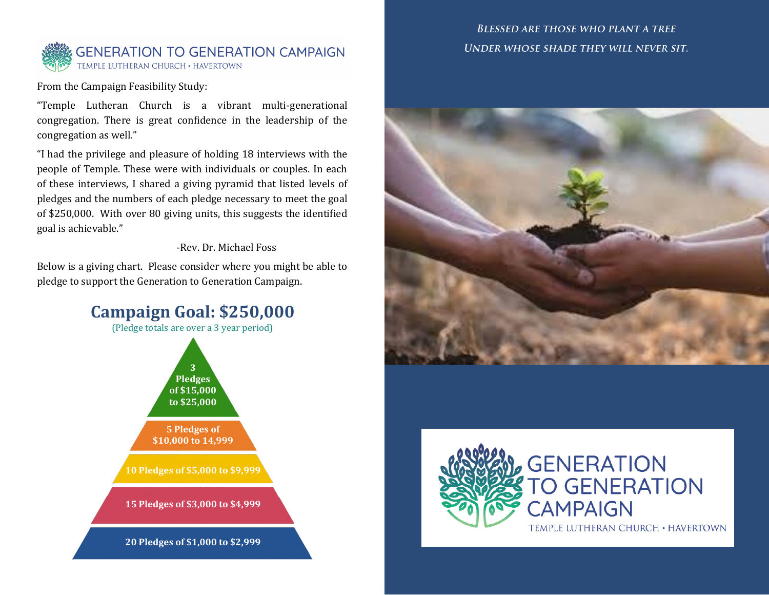

From the Campaign Feasibility Study:

"Temple Lutheran Church is a vibrant multi-generational congregation. There is great confidence in the leadership of the congregation as well."

"I had the privilege and pleasure of holding 18 interviews with the people of Temple. These were with individuals or couples. In each of these interviews, I shared a giving pyramid that listed levels of pledges and the numbers of each pledge necessary to meet the goal of \$250,000. With over 80 giving units, this suggests the identified goal is achievable."

#### -Rev. Dr. Michael Foss

Below is a giving chart. Please consider where you might be able to pledge to support the Generation to Generation Campaign.



### **BLESSED ARE THOSE WHO PLANT A TREE** UNDER WHOSE SHADE THEY WILL NEVER SIT.